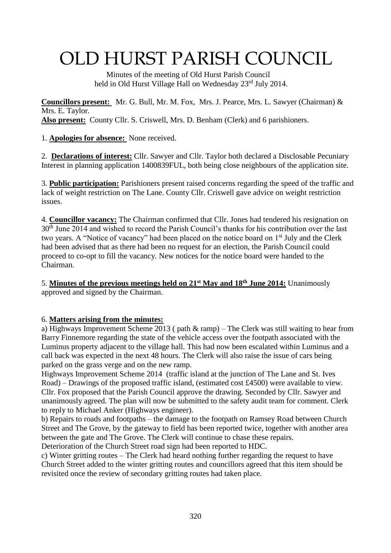# OLD HURST PARISH COUNCIL

 Minutes of the meeting of Old Hurst Parish Council held in Old Hurst Village Hall on Wednesday 23<sup>rd</sup> July 2014.

**Councillors present:** Mr. G. Bull, Mr. M. Fox, Mrs. J. Pearce, Mrs. L. Sawyer (Chairman) & Mrs. E. Taylor. **Also present:** County Cllr. S. Criswell, Mrs. D. Benham (Clerk) and 6 parishioners.

1. **Apologies for absence:** None received.

2. **Declarations of interest:** Cllr. Sawyer and Cllr. Taylor both declared a Disclosable Pecuniary Interest in planning application 1400839FUL, both being close neighbours of the application site.

3. **Public participation:** Parishioners present raised concerns regarding the speed of the traffic and lack of weight restriction on The Lane. County Cllr. Criswell gave advice on weight restriction issues.

4. **Councillor vacancy:** The Chairman confirmed that Cllr. Jones had tendered his resignation on  $30<sup>th</sup>$  June 2014 and wished to record the Parish Council's thanks for his contribution over the last two years. A "Notice of vacancy" had been placed on the notice board on 1<sup>st</sup> July and the Clerk had been advised that as there had been no request for an election, the Parish Council could proceed to co-opt to fill the vacancy. New notices for the notice board were handed to the Chairman.

5. **Minutes of the previous meetings held on 21st May and 18th June 2014:** Unanimously approved and signed by the Chairman.

#### 6. **Matters arising from the minutes:**

a) Highways Improvement Scheme 2013 ( path & ramp) – The Clerk was still waiting to hear from Barry Finnemore regarding the state of the vehicle access over the footpath associated with the Luminus property adjacent to the village hall. This had now been escalated within Luminus and a call back was expected in the next 48 hours. The Clerk will also raise the issue of cars being parked on the grass verge and on the new ramp.

Highways Improvement Scheme 2014 (traffic island at the junction of The Lane and St. Ives Road) – Drawings of the proposed traffic island, (estimated cost £4500) were available to view. Cllr. Fox proposed that the Parish Council approve the drawing. Seconded by Cllr. Sawyer and unanimously agreed. The plan will now be submitted to the safety audit team for comment. Clerk to reply to Michael Anker (Highways engineer).

b) Repairs to roads and footpaths – the damage to the footpath on Ramsey Road between Church Street and The Grove, by the gateway to field has been reported twice, together with another area between the gate and The Grove. The Clerk will continue to chase these repairs. Deterioration of the Church Street road sign had been reported to HDC.

c) Winter gritting routes – The Clerk had heard nothing further regarding the request to have Church Street added to the winter gritting routes and councillors agreed that this item should be revisited once the review of secondary gritting routes had taken place.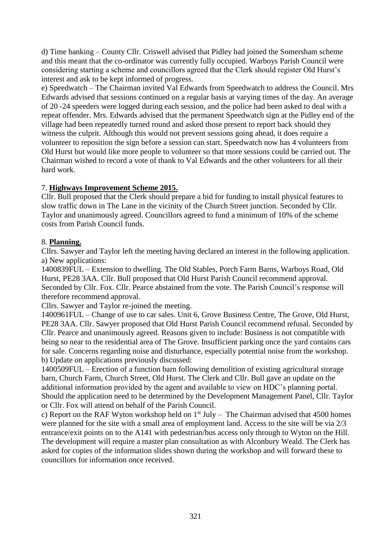d) Time banking – County Cllr. Criswell advised that Pidley had joined the Somersham scheme and this meant that the co-ordinator was currently fully occupied. Warboys Parish Council were considering starting a scheme and councillors agreed that the Clerk should register Old Hurst's interest and ask to be kept informed of progress.

e) Speedwatch – The Chairman invited Val Edwards from Speedwatch to address the Council. Mrs Edwards advised that sessions continued on a regular basis at varying times of the day. An average of 20 -24 speeders were logged during each session, and the police had been asked to deal with a repeat offender. Mrs. Edwards advised that the permanent Speedwatch sign at the Pidley end of the village had been repeatedly turned round and asked those present to report back should they witness the culprit. Although this would not prevent sessions going ahead, it does require a volunteer to reposition the sign before a session can start. Speedwatch now has 4 volunteers from Old Hurst but would like more people to volunteer so that more sessions could be carried out. The Chairman wished to record a vote of thank to Val Edwards and the other volunteers for all their hard work.

# 7. **Highways Improvement Scheme 2015.**

Cllr. Bull proposed that the Clerk should prepare a bid for funding to install physical features to slow traffic down in The Lane in the vicinity of the Church Street junction. Seconded by Cllr. Taylor and unanimously agreed. Councillors agreed to fund a minimum of 10% of the scheme costs from Parish Council funds.

## 8. **Planning.**

Cllrs. Sawyer and Taylor left the meeting having declared an interest in the following application. a) New applications:

1400839FUL – Extension to dwelling. The Old Stables, Porch Farm Barns, Warboys Road, Old Hurst, PE28 3AA. Cllr. Bull proposed that Old Hurst Parish Council recommend approval. Seconded by Cllr. Fox. Cllr. Pearce abstained from the vote. The Parish Council's response will therefore recommend approval.

Cllrs. Sawyer and Taylor re-joined the meeting.

1400961FUL – Change of use to car sales. Unit 6, Grove Business Centre, The Grove, Old Hurst, PE28 3AA. Cllr. Sawyer proposed that Old Hurst Parish Council recommend refusal. Seconded by Cllr. Pearce and unanimously agreed. Reasons given to include: Business is not compatible with being so near to the residential area of The Grove. Insufficient parking once the yard contains cars for sale. Concerns regarding noise and disturbance, especially potential noise from the workshop. b) Update on applications previously discussed:

1400509FUL – Erection of a function barn following demolition of existing agricultural storage barn, Church Farm, Church Street, Old Hurst. The Clerk and Cllr. Bull gave an update on the additional information provided by the agent and available to view on HDC's planning portal. Should the application need to be determined by the Development Management Panel, Cllr. Taylor or Cllr. Fox will attend on behalf of the Parish Council.

c) Report on the RAF Wyton workshop held on  $1<sup>st</sup>$  July – The Chairman advised that 4500 homes were planned for the site with a small area of employment land. Access to the site will be via 2/3 entrance/exit points on to the A141 with pedestrian/bus access only through to Wyton on the Hill. The development will require a master plan consultation as with Alconbury Weald. The Clerk has asked for copies of the information slides shown during the workshop and will forward these to councillors for information once received.